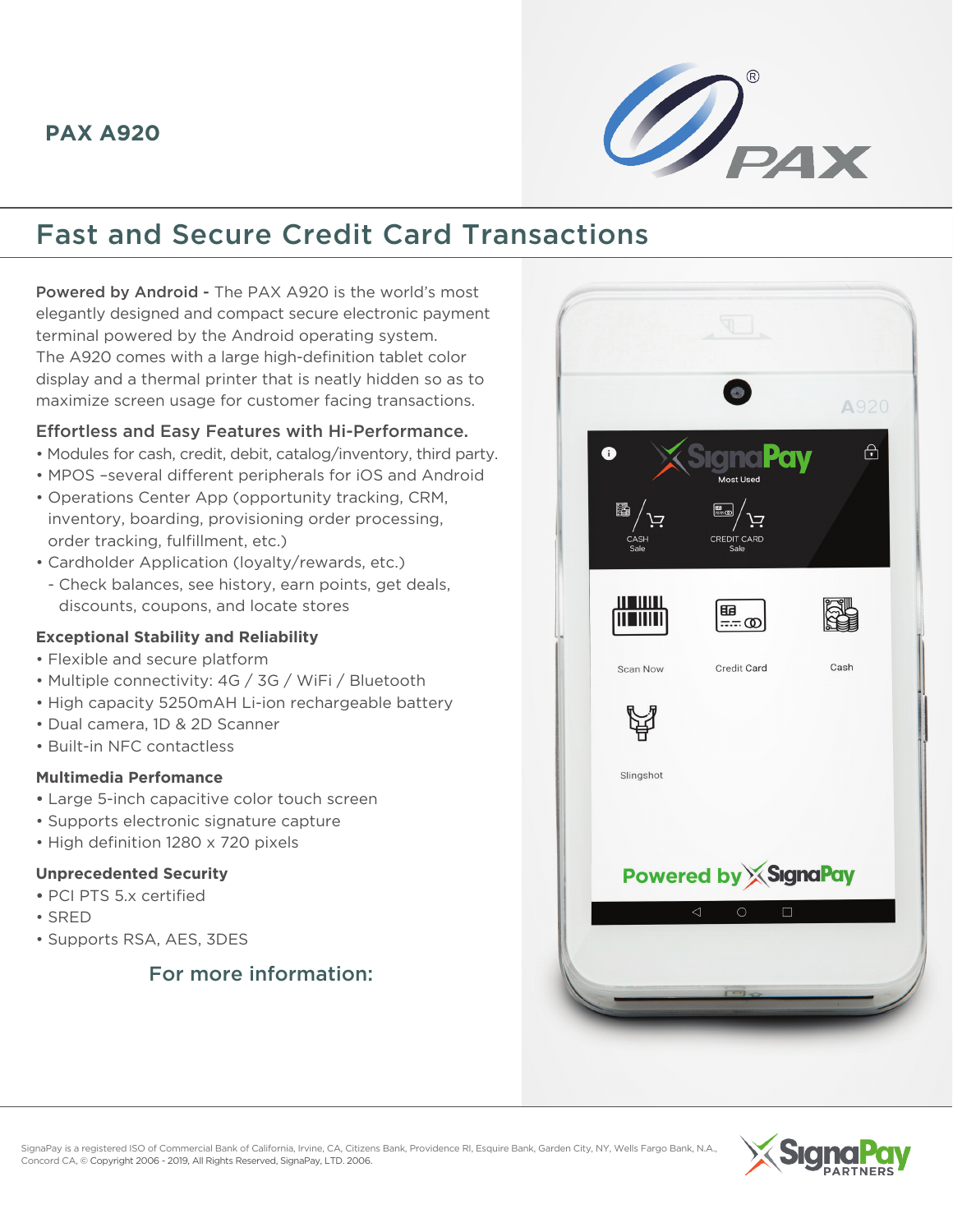

# Fast and Secure Credit Card Transactions

Powered by Android - The PAX A920 is the world's most elegantly designed and compact secure electronic payment terminal powered by the Android operating system. The A920 comes with a large high-definition tablet color display and a thermal printer that is neatly hidden so as to maximize screen usage for customer facing transactions.

#### Effortless and Easy Features with Hi-Performance.

- Modules for cash, credit, debit, catalog/inventory, third party.
- MPOS –several different peripherals for iOS and Android
- Operations Center App (opportunity tracking, CRM, inventory, boarding, provisioning order processing, order tracking, fulfillment, etc.)
- Cardholder Application (loyalty/rewards, etc.)
- Check balances, see history, earn points, get deals, discounts, coupons, and locate stores

#### **Exceptional Stability and Reliability**

- Flexible and secure platform
- Multiple connectivity: 4G / 3G / WiFi / Bluetooth
- High capacity 5250mAH Li-ion rechargeable battery
- Dual camera, 1D & 2D Scanner
- Built-in NFC contactless

#### **Multimedia Perfomance**

- Large 5-inch capacitive color touch screen
- Supports electronic signature capture
- High definition 1280 x 720 pixels

#### **Unprecedented Security**

- PCI PTS 5.x certified
- SRED
- Supports RSA, AES, 3DES

### For more information: